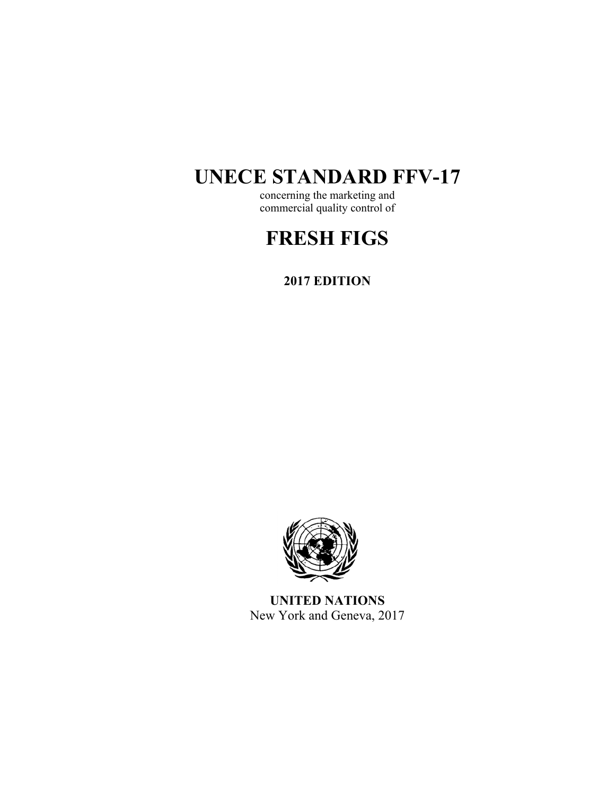# **UNECE STANDARD FFV-17**

concerning the marketing and commercial quality control of

# **FRESH FIGS**

**2017 EDITION** 



**UNITED NATIONS**  New York and Geneva, 2017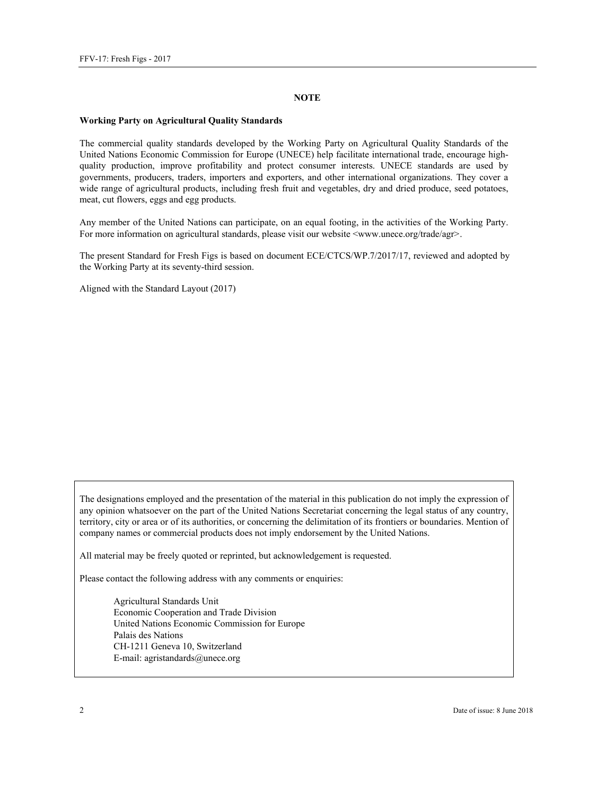#### **NOTE**

#### **Working Party on Agricultural Quality Standards**

The commercial quality standards developed by the Working Party on Agricultural Quality Standards of the United Nations Economic Commission for Europe (UNECE) help facilitate international trade, encourage highquality production, improve profitability and protect consumer interests. UNECE standards are used by governments, producers, traders, importers and exporters, and other international organizations. They cover a wide range of agricultural products, including fresh fruit and vegetables, dry and dried produce, seed potatoes, meat, cut flowers, eggs and egg products.

Any member of the United Nations can participate, on an equal footing, in the activities of the Working Party. For more information on agricultural standards, please visit our website <www.unece.org/trade/agr>.

The present Standard for Fresh Figs is based on document ECE/CTCS/WP.7/2017/17, reviewed and adopted by the Working Party at its seventy-third session.

Aligned with the Standard Layout (2017)

The designations employed and the presentation of the material in this publication do not imply the expression of any opinion whatsoever on the part of the United Nations Secretariat concerning the legal status of any country, territory, city or area or of its authorities, or concerning the delimitation of its frontiers or boundaries. Mention of company names or commercial products does not imply endorsement by the United Nations.

All material may be freely quoted or reprinted, but acknowledgement is requested.

Please contact the following address with any comments or enquiries:

Agricultural Standards Unit Economic Cooperation and Trade Division United Nations Economic Commission for Europe Palais des Nations CH-1211 Geneva 10, Switzerland E-mail: agristandards@unece.org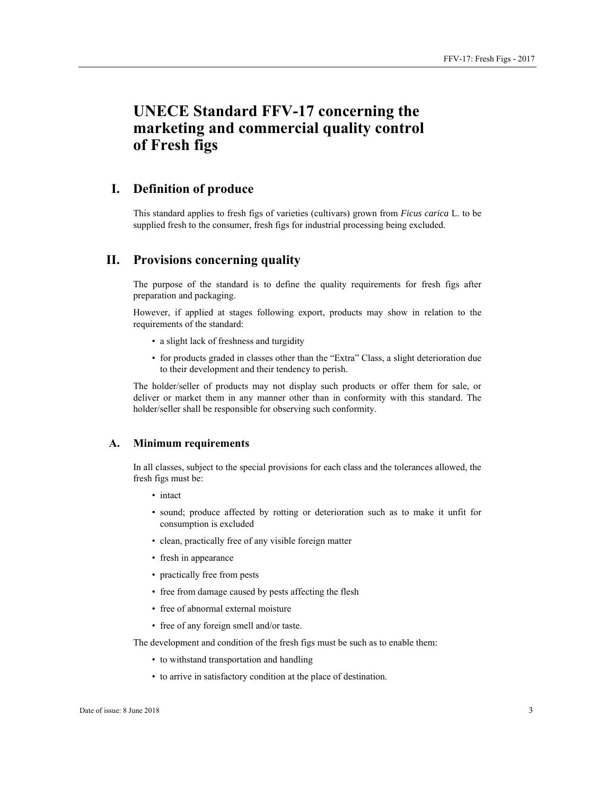# **UNECE Standard FFV-17 concerning the marketing and commercial quality control of Fresh figs**

# **I. Definition of produce**

This standard applies to fresh figs of varieties (cultivars) grown from *Ficus carica* L. to be supplied fresh to the consumer, fresh figs for industrial processing being excluded.

# **II. Provisions concerning quality**

The purpose of the standard is to define the quality requirements for fresh figs after preparation and packaging.

However, if applied at stages following export, products may show in relation to the requirements of the standard:

- a slight lack of freshness and turgidity
- for products graded in classes other than the "Extra" Class, a slight deterioration due to their development and their tendency to perish.

The holder/seller of products may not display such products or offer them for sale, or deliver or market them in any manner other than in conformity with this standard. The holder/seller shall be responsible for observing such conformity.

## **A. Minimum requirements**

In all classes, subject to the special provisions for each class and the tolerances allowed, the fresh figs must be:

- intact
- sound; produce affected by rotting or deterioration such as to make it unfit for consumption is excluded
- clean, practically free of any visible foreign matter
- fresh in appearance
- practically free from pests
- free from damage caused by pests affecting the flesh
- free of abnormal external moisture
- free of any foreign smell and/or taste.

The development and condition of the fresh figs must be such as to enable them:

- to withstand transportation and handling
- to arrive in satisfactory condition at the place of destination.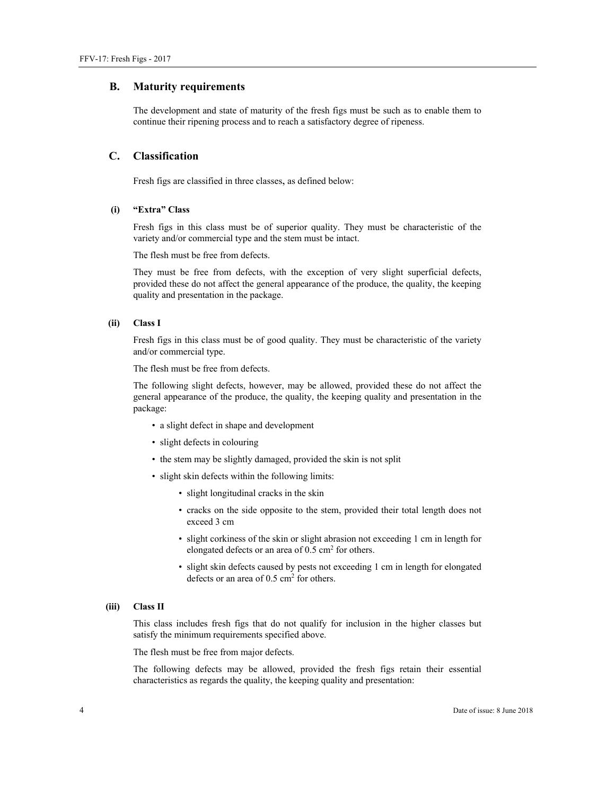#### **B. Maturity requirements**

The development and state of maturity of the fresh figs must be such as to enable them to continue their ripening process and to reach a satisfactory degree of ripeness.

#### **C. Classification**

Fresh figs are classified in three classes, as defined below:

#### **(i) "Extra" Class**

Fresh figs in this class must be of superior quality. They must be characteristic of the variety and/or commercial type and the stem must be intact.

The flesh must be free from defects.

They must be free from defects, with the exception of very slight superficial defects, provided these do not affect the general appearance of the produce, the quality, the keeping quality and presentation in the package.

#### **(ii) Class I**

Fresh figs in this class must be of good quality. They must be characteristic of the variety and/or commercial type.

The flesh must be free from defects.

The following slight defects, however, may be allowed, provided these do not affect the general appearance of the produce, the quality, the keeping quality and presentation in the package:

- a slight defect in shape and development
- slight defects in colouring
- the stem may be slightly damaged, provided the skin is not split
- slight skin defects within the following limits:
	- slight longitudinal cracks in the skin
	- cracks on the side opposite to the stem, provided their total length does not exceed 3 cm
	- slight corkiness of the skin or slight abrasion not exceeding 1 cm in length for elongated defects or an area of 0.5 cm<sup>2</sup> for others.
	- slight skin defects caused by pests not exceeding 1 cm in length for elongated defects or an area of  $0.5 \text{ cm}^2$  for others.

#### **(iii) Class II**

This class includes fresh figs that do not qualify for inclusion in the higher classes but satisfy the minimum requirements specified above.

The flesh must be free from major defects.

The following defects may be allowed, provided the fresh figs retain their essential characteristics as regards the quality, the keeping quality and presentation: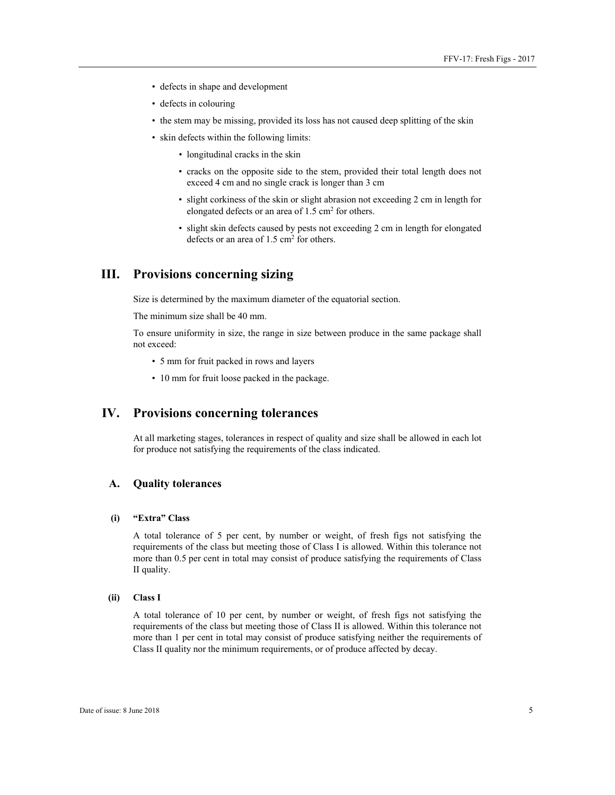- defects in shape and development
- defects in colouring
- the stem may be missing, provided its loss has not caused deep splitting of the skin
- skin defects within the following limits:
	- longitudinal cracks in the skin
	- cracks on the opposite side to the stem, provided their total length does not exceed 4 cm and no single crack is longer than 3 cm
	- slight corkiness of the skin or slight abrasion not exceeding 2 cm in length for elongated defects or an area of 1.5 cm<sup>2</sup> for others.
	- slight skin defects caused by pests not exceeding 2 cm in length for elongated defects or an area of  $1.5 \text{ cm}^2$  for others.

# **III. Provisions concerning sizing**

Size is determined by the maximum diameter of the equatorial section.

The minimum size shall be 40 mm.

To ensure uniformity in size, the range in size between produce in the same package shall not exceed:

- 5 mm for fruit packed in rows and layers
- 10 mm for fruit loose packed in the package.

# **IV. Provisions concerning tolerances**

At all marketing stages, tolerances in respect of quality and size shall be allowed in each lot for produce not satisfying the requirements of the class indicated.

## **A. Quality tolerances**

# **(i) "Extra" Class**

A total tolerance of 5 per cent, by number or weight, of fresh figs not satisfying the requirements of the class but meeting those of Class I is allowed. Within this tolerance not more than 0.5 per cent in total may consist of produce satisfying the requirements of Class II quality.

#### **(ii) Class I**

A total tolerance of 10 per cent, by number or weight, of fresh figs not satisfying the requirements of the class but meeting those of Class II is allowed. Within this tolerance not more than 1 per cent in total may consist of produce satisfying neither the requirements of Class II quality nor the minimum requirements, or of produce affected by decay.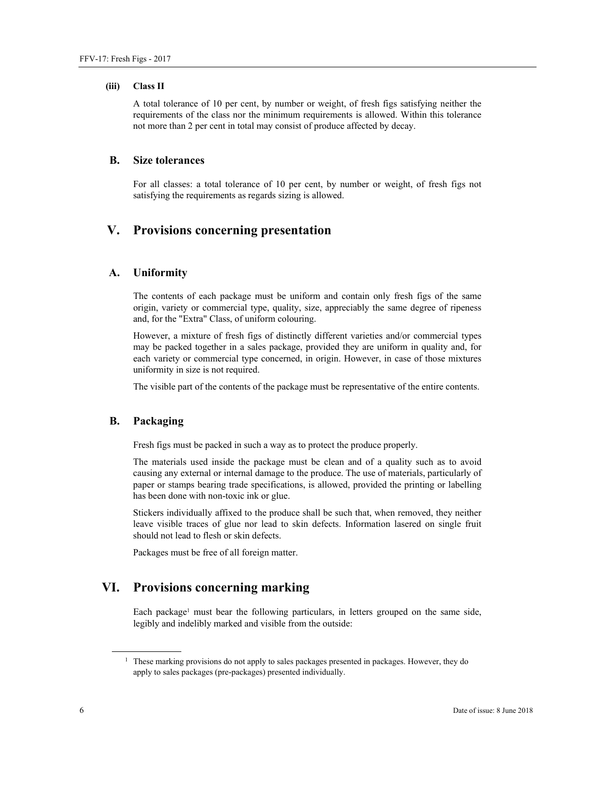#### **(iii) Class II**

A total tolerance of 10 per cent, by number or weight, of fresh figs satisfying neither the requirements of the class nor the minimum requirements is allowed. Within this tolerance not more than 2 per cent in total may consist of produce affected by decay.

# **B. Size tolerances**

For all classes: a total tolerance of 10 per cent, by number or weight, of fresh figs not satisfying the requirements as regards sizing is allowed.

# **V. Provisions concerning presentation**

## **A. Uniformity**

The contents of each package must be uniform and contain only fresh figs of the same origin, variety or commercial type, quality, size, appreciably the same degree of ripeness and, for the "Extra" Class, of uniform colouring.

However, a mixture of fresh figs of distinctly different varieties and/or commercial types may be packed together in a sales package, provided they are uniform in quality and, for each variety or commercial type concerned, in origin. However, in case of those mixtures uniformity in size is not required.

The visible part of the contents of the package must be representative of the entire contents.

## **B. Packaging**

Fresh figs must be packed in such a way as to protect the produce properly.

The materials used inside the package must be clean and of a quality such as to avoid causing any external or internal damage to the produce. The use of materials, particularly of paper or stamps bearing trade specifications, is allowed, provided the printing or labelling has been done with non-toxic ink or glue.

Stickers individually affixed to the produce shall be such that, when removed, they neither leave visible traces of glue nor lead to skin defects. Information lasered on single fruit should not lead to flesh or skin defects.

Packages must be free of all foreign matter.

# **VI. Provisions concerning marking**

Each package<sup>1</sup> must bear the following particulars, in letters grouped on the same side, legibly and indelibly marked and visible from the outside:

 $\overline{a}$ 

<sup>&</sup>lt;sup>1</sup> These marking provisions do not apply to sales packages presented in packages. However, they do apply to sales packages (pre-packages) presented individually.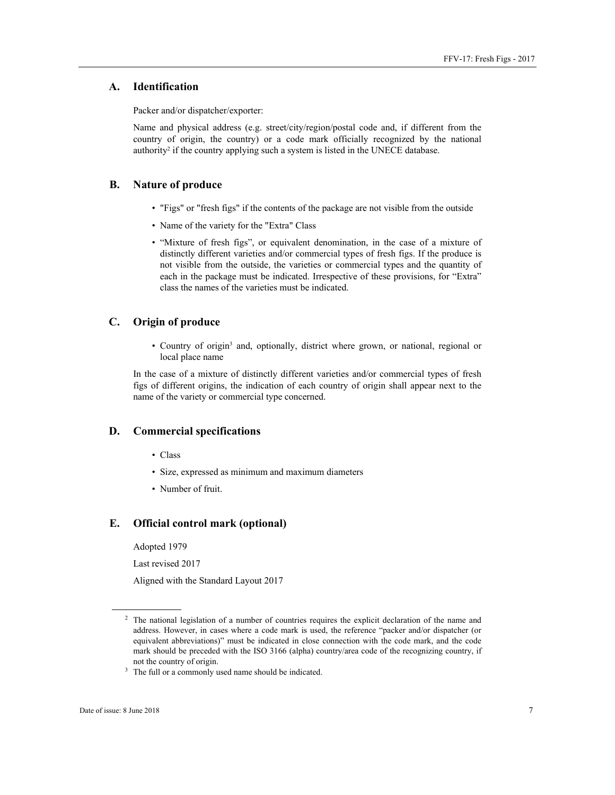## **A. Identification**

Packer and/or dispatcher/exporter:

Name and physical address (e.g. street/city/region/postal code and, if different from the country of origin, the country) or a code mark officially recognized by the national authority<sup>2</sup> if the country applying such a system is listed in the UNECE database.

## **B. Nature of produce**

- "Figs" or "fresh figs" if the contents of the package are not visible from the outside
- Name of the variety for the "Extra" Class
- "Mixture of fresh figs", or equivalent denomination, in the case of a mixture of distinctly different varieties and/or commercial types of fresh figs. If the produce is not visible from the outside, the varieties or commercial types and the quantity of each in the package must be indicated. Irrespective of these provisions, for "Extra" class the names of the varieties must be indicated.

## **C. Origin of produce**

• Country of origin<sup>3</sup> and, optionally, district where grown, or national, regional or local place name

In the case of a mixture of distinctly different varieties and/or commercial types of fresh figs of different origins, the indication of each country of origin shall appear next to the name of the variety or commercial type concerned.

#### **D. Commercial specifications**

- Class
- Size, expressed as minimum and maximum diameters
- Number of fruit.

#### **E. Official control mark (optional)**

Adopted 1979

Last revised 2017

Aligned with the Standard Layout 2017

 $\overline{a}$ 

<sup>2</sup> The national legislation of a number of countries requires the explicit declaration of the name and address. However, in cases where a code mark is used, the reference "packer and/or dispatcher (or equivalent abbreviations)" must be indicated in close connection with the code mark, and the code mark should be preceded with the ISO 3166 (alpha) country/area code of the recognizing country, if not the country of origin.<br><sup>3</sup> The full or a commonly used name should be indicated.